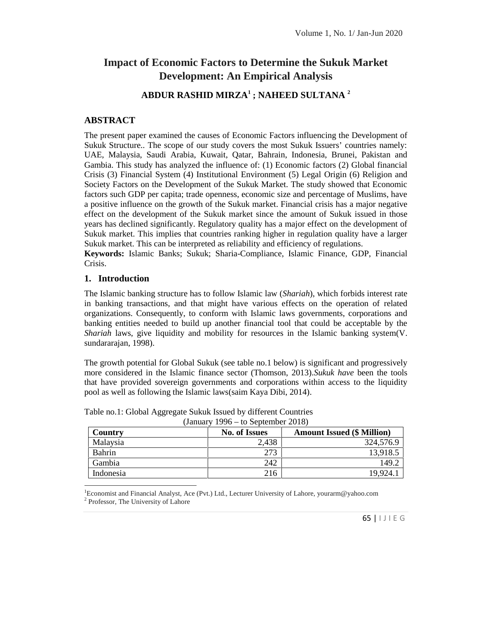# **Impact of Economic Factors to Determine the Sukuk Market Development: An Empirical Analysis**

# **ABDUR RASHID MIRZA<sup>1</sup> ; NAHEED SULTANA <sup>2</sup>**

#### **ABSTRACT**

The present paper examined the causes of Economic Factors influencing the Development of Sukuk Structure.. The scope of our study covers the most Sukuk Issuers' countries namely: UAE, Malaysia, Saudi Arabia, Kuwait, Qatar, Bahrain, Indonesia, Brunei, Pakistan and Gambia. This study has analyzed the influence of: (1) Economic factors (2) Global financial Crisis (3) Financial System (4) Institutional Environment (5) Legal Origin (6) Religion and Society Factors on the Development of the Sukuk Market. The study showed that Economic factors such GDP per capita; trade openness, economic size and percentage of Muslims, have a positive influence on the growth of the Sukuk market. Financial crisis has a major negative effect on the development of the Sukuk market since the amount of Sukuk issued in those years has declined significantly. Regulatory quality has a major effect on the development of Sukuk market. This implies that countries ranking higher in regulation quality have a larger Sukuk market. This can be interpreted as reliability and efficiency of regulations.

**Keywords:** Islamic Banks; Sukuk; Sharia-Compliance, Islamic Finance, GDP, Financial Crisis.

#### **1. Introduction**

The Islamic banking structure has to follow Islamic law (*Shariah*), which forbids interest rate in banking transactions, and that might have various effects on the operation of related organizations. Consequently, to conform with Islamic laws governments, corporations and banking entities needed to build up another financial tool that could be acceptable by the *Shariah* laws, give liquidity and mobility for resources in the Islamic banking system(V. sundararajan, 1998).

The growth potential for Global Sukuk (see table no.1 below) is significant and progressively more considered in the Islamic finance sector (Thomson, 2013).*Sukuk have* been the tools that have provided sovereign governments and corporations within access to the liquidity pool as well as following the Islamic laws(saim Kaya Dibi, 2014).

| Country                                          | <b>No. of Issues</b>                                                                               | <b>Amount Issued (\$ Million)</b> |
|--------------------------------------------------|----------------------------------------------------------------------------------------------------|-----------------------------------|
| Malaysia                                         | 2,438                                                                                              | 324,576.9                         |
| Bahrin                                           | 273                                                                                                | 13,918.5                          |
| Gambia                                           | 242                                                                                                | 149.2                             |
|                                                  |                                                                                                    |                                   |
| Indonesia                                        | 216                                                                                                | 19,924.1                          |
| <sup>2</sup> Professor, The University of Lahore | Economist and Financial Analyst, Ace (Pvt.) Ltd., Lecturer University of Lahore, yourarm@yahoo.com |                                   |

| Table no.1: Global Aggregate Sukuk Issued by different Countries |                                   |
|------------------------------------------------------------------|-----------------------------------|
|                                                                  | $(1)$ $(10)$ $(10)$ $(10)$ $(10)$ |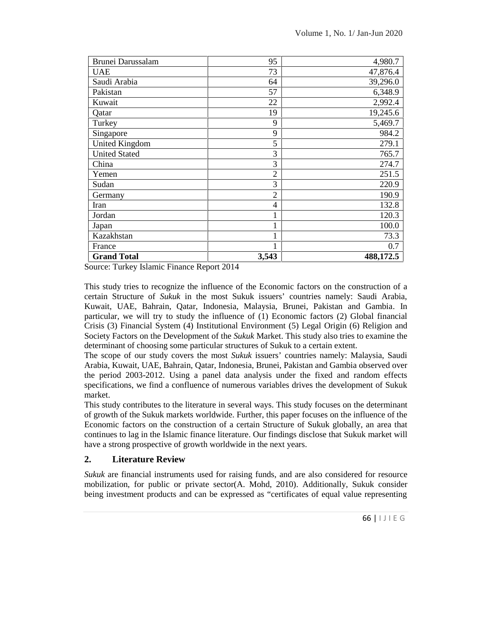| Brunei Darussalam     | 95             | 4,980.7   |  |
|-----------------------|----------------|-----------|--|
| <b>UAE</b>            | 73             | 47,876.4  |  |
| Saudi Arabia          | 64             | 39,296.0  |  |
| Pakistan              | 57             | 6,348.9   |  |
| Kuwait                | 22             | 2,992.4   |  |
| Qatar                 | 19             | 19,245.6  |  |
| Turkey                | 9              | 5,469.7   |  |
| Singapore             | 9              | 984.2     |  |
| <b>United Kingdom</b> | 5              | 279.1     |  |
| <b>United Stated</b>  | 3              | 765.7     |  |
| China                 | 3              | 274.7     |  |
| Yemen                 | $\overline{2}$ | 251.5     |  |
| Sudan                 | 3              | 220.9     |  |
| Germany               | $\overline{2}$ | 190.9     |  |
| Iran                  | 4              | 132.8     |  |
| Jordan                | 1              | 120.3     |  |
| Japan                 | 1              | 100.0     |  |
| Kazakhstan            | 1              | 73.3      |  |
| France                | 1              | 0.7       |  |
| <b>Grand Total</b>    | 3,543          | 488,172.5 |  |

Source: Turkey Islamic Finance Report 2014

This study tries to recognize the influence of the Economic factors on the construction of a certain Structure of *Sukuk* in the most Sukuk issuers' countries namely: Saudi Arabia, Kuwait, UAE, Bahrain, Qatar, Indonesia, Malaysia, Brunei, Pakistan and Gambia. In particular, we will try to study the influence of (1) Economic factors (2) Global financial Crisis (3) Financial System (4) Institutional Environment (5) Legal Origin (6) Religion and Society Factors on the Development of the *Sukuk* Market. This study also tries to examine the determinant of choosing some particular structures of Sukuk to a certain extent.

The scope of our study covers the most *Sukuk* issuers' countries namely: Malaysia, Saudi Arabia, Kuwait, UAE, Bahrain, Qatar, Indonesia, Brunei, Pakistan and Gambia observed over the period 2003-2012. Using a panel data analysis under the fixed and random effects specifications, we find a confluence of numerous variables drives the development of Sukuk market.

This study contributes to the literature in several ways. This study focuses on the determinant of growth of the Sukuk markets worldwide. Further, this paper focuses on the influence of the Economic factors on the construction of a certain Structure of Sukuk globally, an area that continues to lag in the Islamic finance literature. Our findings disclose that Sukuk market will have a strong prospective of growth worldwide in the next years.

# **2. Literature Review**

for resource<br>kuk consider<br>representing<br>66 |  $\vert \downarrow \vert$   $\vert \in \mathbb{G}$ *Sukuk* are financial instruments used for raising funds, and are also considered for resource mobilization, for public or private sector(A. Mohd, 2010). Additionally, Sukuk consider being investment products and can be expressed as "certificates of equal value representing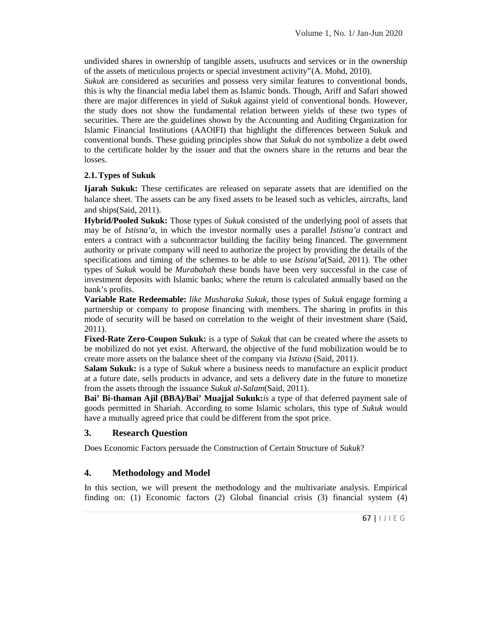undivided shares in ownership of tangible assets, usufructs and services or in the ownership of the assets of meticulous projects or special investment activity"(A. Mohd, 2010).

*Sukuk* are considered as securities and possess very similar features to conventional bonds, this is why the financial media label them as Islamic bonds. Though, Ariff and Safari showed there are major differences in yield of *Sukuk* against yield of conventional bonds. However, the study does not show the fundamental relation between yields of these two types of securities. There are the guidelines shown by the Accounting and Auditing Organization for Islamic Financial Institutions (AAOIFI) that highlight the differences between Sukuk and conventional bonds. These guiding principles show that *Sukuk* do not symbolize a debt owed to the certificate holder by the issuer and that the owners share in the returns and bear the losses.

### **2.1.Types of Sukuk**

**Ijarah Sukuk:** These certificates are released on separate assets that are identified on the balance sheet. The assets can be any fixed assets to be leased such as vehicles, aircrafts, land and ships(Said, 2011).

**Hybrid/Pooled Sukuk:** Those types of *Sukuk* consisted of the underlying pool of assets that may be of *Istisna'a*, in which the investor normally uses a parallel *Istisna'a* contract and enters a contract with a subcontractor building the facility being financed. The government authority or private company will need to authorize the project by providing the details of the specifications and timing of the schemes to be able to use *Istisna'a*(Said, 2011). The other types of *Sukuk* would be *Murabahah* these bonds have been very successful in the case of investment deposits with Islamic banks; where the return is calculated annually based on the bank's profits.

**Variable Rate Redeemable:** *like Musharaka Sukuk*, those types of *Sukuk* engage forming a partnership or company to propose financing with members. The sharing in profits in this mode of security will be based on correlation to the weight of their investment share (Said, 2011).

**Fixed-Rate Zero-Coupon Sukuk:** is a type of *Sukuk* that can be created where the assets to be mobilized do not yet exist. Afterward, the objective of the fund mobilization would be to create more assets on the balance sheet of the company via *Istisna* (Said, 2011).

**Salam Sukuk:** is a type of *Sukuk* where a business needs to manufacture an explicit product at a future date, sells products in advance, and sets a delivery date in the future to monetize from the assets through the issuance *Sukuk al-Salam*(Said, 2011).

**Bai' Bi-thaman Ajil (BBA)/Bai' Muajjal Sukuk:***is* a type of that deferred payment sale of goods permitted in Shariah. According to some Islamic scholars, this type of *Sukuk* would have a mutually agreed price that could be different from the spot price.

# **3. Research Question**

Does Economic Factors persuade the Construction of Certain Structure of *Sukuk*?

# **4. Methodology and Model**

is. Empirical<br>system (4)<br>67 |  $\vert \ \vert$  J  $\vert \ \epsilon$  G In this section, we will present the methodology and the multivariate analysis. Empirical finding on: (1) Economic factors (2) Global financial crisis (3) financial system (4)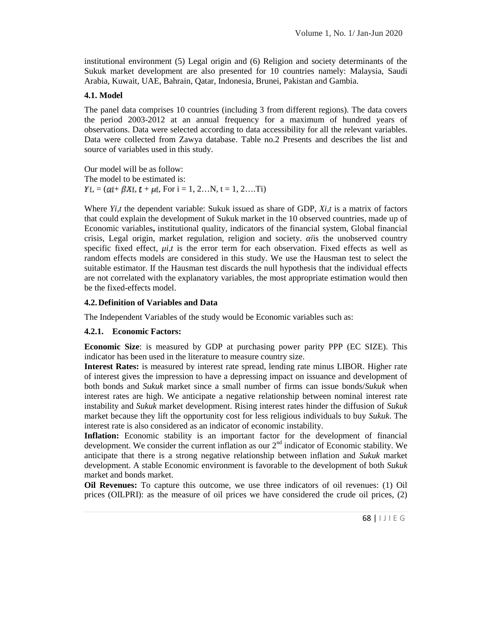institutional environment (5) Legal origin and (6) Religion and society determinants of the Sukuk market development are also presented for 10 countries namely: Malaysia, Saudi Arabia, Kuwait, UAE, Bahrain, Qatar, Indonesia, Brunei, Pakistan and Gambia.

#### **4.1. Model**

The panel data comprises 10 countries (including 3 from different regions). The data covers the period 2003-2012 at an annual frequency for a maximum of hundred years of observations. Data were selected according to data accessibility for all the relevant variables. Data were collected from Zawya database. Table no.2 Presents and describes the list and source of variables used in this study.

Our model will be as follow: The model to be estimated is:  $Y_i = (a_i + \beta X_i, t + \mu i,$  For  $i = 1, 2...N, t = 1, 2...Ti)$ 

Where *Yi,t* the dependent variable: Sukuk issued as share of GDP, *Xi,t* is a matrix of factors that could explain the development of Sukuk market in the 10 observed countries, made up of Economic variables**,** institutional quality, indicators of the financial system, Global financial crisis, Legal origin, market regulation, religion and society. *αi*is the unobserved country specific fixed effect, *μi,t* is the error term for each observation. Fixed effects as well as random effects models are considered in this study. We use the Hausman test to select the suitable estimator. If the Hausman test discards the null hypothesis that the individual effects are not correlated with the explanatory variables, the most appropriate estimation would then be the fixed-effects model.

#### **4.2.Definition of Variables and Data**

The Independent Variables of the study would be Economic variables such as:

#### **4.2.1. Economic Factors:**

**Economic Size**: is measured by GDP at purchasing power parity PPP (EC SIZE). This indicator has been used in the literature to measure country size.

**Interest Rates:** is measured by interest rate spread, lending rate minus LIBOR. Higher rate of interest gives the impression to have a depressing impact on issuance and development of both bonds and *Sukuk* market since a small number of firms can issue bonds/*Sukuk* when interest rates are high. We anticipate a negative relationship between nominal interest rate instability and *Sukuk* market development. Rising interest rates hinder the diffusion of *Sukuk* market because they lift the opportunity cost for less religious individuals to buy *Sukuk*. The interest rate is also considered as an indicator of economic instability.

**Inflation:** Economic stability is an important factor for the development of financial development. We consider the current inflation as our  $2<sup>nd</sup>$  indicator of Economic stability. We anticipate that there is a strong negative relationship between inflation and *Sukuk* market development. A stable Economic environment is favorable to the development of both *Sukuk* market and bonds market.

The US of Bakan<br>il prices, (2)<br> $\overline{68}$  | 1 J | E G **Oil Revenues:** To capture this outcome, we use three indicators of oil revenues: (1) Oil prices (OILPRI): as the measure of oil prices we have considered the crude oil prices, (2)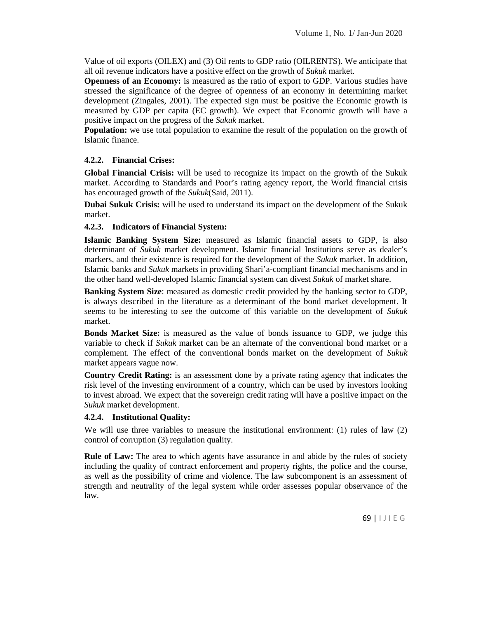Value of oil exports (OILEX) and (3) Oil rents to GDP ratio (OILRENTS). We anticipate that all oil revenue indicators have a positive effect on the growth of *Sukuk* market.

**Openness of an Economy:** is measured as the ratio of export to GDP. Various studies have stressed the significance of the degree of openness of an economy in determining market development (Zingales, 2001). The expected sign must be positive the Economic growth is measured by GDP per capita (EC growth). We expect that Economic growth will have a positive impact on the progress of the *Sukuk* market.

**Population:** we use total population to examine the result of the population on the growth of Islamic finance.

#### **4.2.2. Financial Crises:**

**Global Financial Crisis:** will be used to recognize its impact on the growth of the Sukuk market. According to Standards and Poor's rating agency report, the World financial crisis has encouraged growth of the *Sukuk*(Said, 2011).

**Dubai Sukuk Crisis:** will be used to understand its impact on the development of the Sukuk market.

### **4.2.3. Indicators of Financial System:**

**Islamic Banking System Size:** measured as Islamic financial assets to GDP, is also determinant of *Sukuk* market development. Islamic financial Institutions serve as dealer's markers, and their existence is required for the development of the *Sukuk* market. In addition, Islamic banks and *Sukuk* markets in providing Shari'a-compliant financial mechanisms and in the other hand well-developed Islamic financial system can divest *Sukuk* of market share.

**Banking System Size**: measured as domestic credit provided by the banking sector to GDP, is always described in the literature as a determinant of the bond market development. It seems to be interesting to see the outcome of this variable on the development of *Sukuk* market.

**Bonds Market Size:** is measured as the value of bonds issuance to GDP, we judge this variable to check if *Sukuk* market can be an alternate of the conventional bond market or a complement. The effect of the conventional bonds market on the development of *Sukuk* market appears vague now.

**Country Credit Rating:** is an assessment done by a private rating agency that indicates the risk level of the investing environment of a country, which can be used by investors looking to invest abroad. We expect that the sovereign credit rating will have a positive impact on the *Sukuk* market development.

#### **4.2.4. Institutional Quality:**

We will use three variables to measure the institutional environment: (1) rules of law (2) control of corruption (3) regulation quality.

d the course,<br>ssessment of<br>vance of the<br>69 |  $1 \cup 1 \in G$ **Rule of Law:** The area to which agents have assurance in and abide by the rules of society including the quality of contract enforcement and property rights, the police and the course, as well as the possibility of crime and violence. The law subcomponent is an assessment of strength and neutrality of the legal system while order assesses popular observance of the law.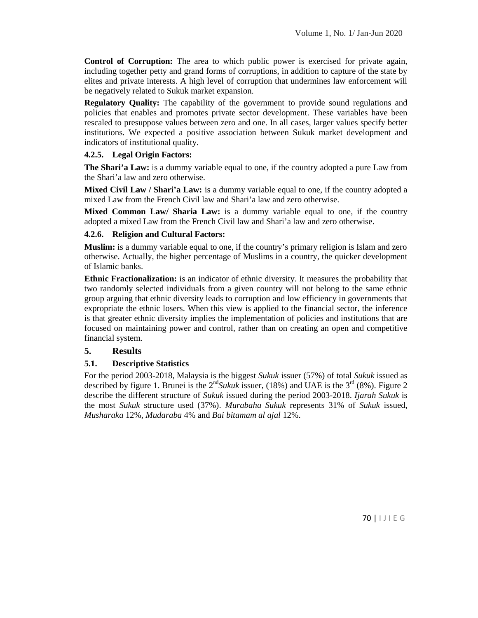**Control of Corruption:** The area to which public power is exercised for private again, including together petty and grand forms of corruptions, in addition to capture of the state by elites and private interests. A high level of corruption that undermines law enforcement will be negatively related to Sukuk market expansion.

**Regulatory Quality:** The capability of the government to provide sound regulations and policies that enables and promotes private sector development. These variables have been rescaled to presuppose values between zero and one. In all cases, larger values specify better institutions. We expected a positive association between Sukuk market development and indicators of institutional quality.

### **4.2.5. Legal Origin Factors:**

**The Shari'a Law:** is a dummy variable equal to one, if the country adopted a pure Law from the Shari'a law and zero otherwise.

**Mixed Civil Law / Shari'a Law:** is a dummy variable equal to one, if the country adopted a mixed Law from the French Civil law and Shari'a law and zero otherwise.

**Mixed Common Law/ Sharia Law:** is a dummy variable equal to one, if the country adopted a mixed Law from the French Civil law and Shari'a law and zero otherwise.

### **4.2.6. Religion and Cultural Factors:**

**Muslim:** is a dummy variable equal to one, if the country's primary religion is Islam and zero otherwise. Actually, the higher percentage of Muslims in a country, the quicker development of Islamic banks.

**Ethnic Fractionalization:** is an indicator of ethnic diversity. It measures the probability that two randomly selected individuals from a given country will not belong to the same ethnic group arguing that ethnic diversity leads to corruption and low efficiency in governments that expropriate the ethnic losers. When this view is applied to the financial sector, the inference is that greater ethnic diversity implies the implementation of policies and institutions that are focused on maintaining power and control, rather than on creating an open and competitive financial system.

# **5. Results**

# **5.1. Descriptive Statistics**

For the period 2003-2018, Malaysia is the biggest *Sukuk* issuer (57%) of total *Sukuk* issued as described by figure 1. Brunei is the  $2<sup>nd</sup> Sukuk$  issuer, (18%) and UAE is the  $3<sup>rd</sup>$  (8%). Figure 2 describe the different structure of *Sukuk* issued during the period 2003-2018. *Ijarah Sukuk* is the most *Sukuk* structure used (37%). *Murabaha Sukuk* represents 31% of *Sukuk* issued, *Musharaka* 12%, *Mudaraba* 4% and *Bai bitamam al ajal* 12%.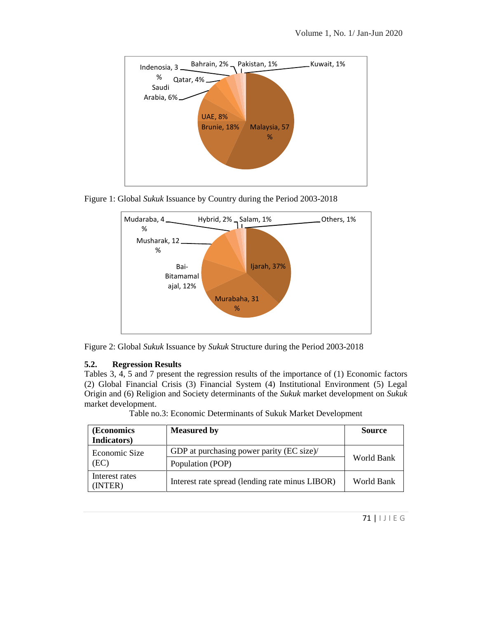

Figure 1: Global *Sukuk* Issuance by Country during the Period 2003-2018





#### **5.2. Regression Results**

Tables 3, 4, 5 and 7 present the regression results of the importance of (1) Economic factors (2) Global Financial Crisis (3) Financial System (4) Institutional Environment (5) Legal Origin and (6) Religion and Society determinants of the *Sukuk* market development on *Sukuk* market development.

Table no.3: Economic Determinants of Sukuk Market Development

| (Economics<br>Indicators) | <b>Measured by</b>                              | <b>Source</b> |
|---------------------------|-------------------------------------------------|---------------|
| Economic Size             | GDP at purchasing power parity (EC size)/       |               |
| (EC)                      | Population (POP)                                | World Bank    |
| Interest rates<br>(INTER) | Interest rate spread (lending rate minus LIBOR) | World Bank    |
|                           |                                                 |               |
|                           |                                                 | 71   IJIEG    |
|                           |                                                 |               |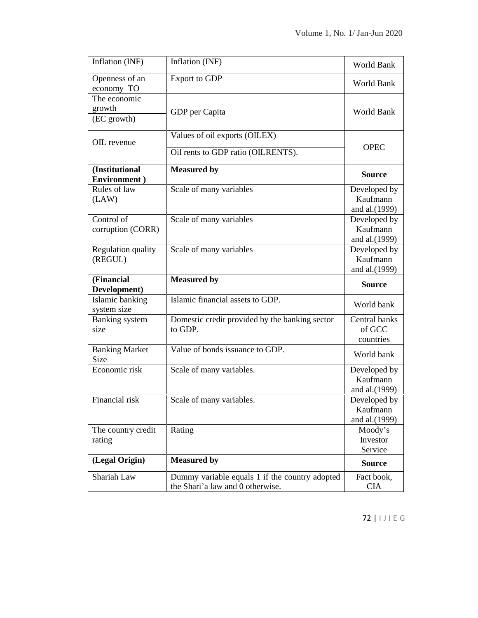| Inflation (INF)                       | Inflation (INF)                                                                    | World Bank                                 |
|---------------------------------------|------------------------------------------------------------------------------------|--------------------------------------------|
| Openness of an<br>economy TO          | <b>Export to GDP</b>                                                               | World Bank                                 |
| The economic<br>growth<br>(EC growth) | GDP per Capita                                                                     | World Bank                                 |
| OIL revenue                           | Values of oil exports (OILEX)                                                      | <b>OPEC</b>                                |
|                                       | Oil rents to GDP ratio (OILRENTS).                                                 |                                            |
| (Institutional<br>Environment)        | <b>Measured by</b>                                                                 | <b>Source</b>                              |
| Rules of law<br>(LAW)                 | Scale of many variables                                                            | Developed by<br>Kaufmann<br>and al.(1999)  |
| Control of<br>corruption (CORR)       | Scale of many variables                                                            | Developed by<br>Kaufmann<br>and al.(1999)  |
| <b>Regulation quality</b><br>(REGUL)  | Scale of many variables                                                            | Developed by<br>Kaufmann<br>and al.(1999)  |
| (Financial<br>Development)            | <b>Measured by</b>                                                                 | <b>Source</b>                              |
| Islamic banking<br>system size        | Islamic financial assets to GDP.                                                   | World bank                                 |
| <b>Banking</b> system<br>size         | Domestic credit provided by the banking sector<br>to GDP.                          | Central banks<br>of GCC<br>countries       |
| <b>Banking Market</b><br>Size         | Value of bonds issuance to GDP.                                                    | World bank                                 |
| Economic risk                         | Scale of many variables.                                                           | Developed by<br>Kaufmann<br>and al. (1999) |
| Financial risk                        | Scale of many variables.                                                           | Developed by<br>Kaufmann<br>and al.(1999)  |
| The country credit<br>rating          | Rating                                                                             | Moody's<br>Investor<br>Service             |
| (Legal Origin)                        | <b>Measured by</b>                                                                 | <b>Source</b>                              |
| Shariah Law                           | Dummy variable equals 1 if the country adopted<br>the Shari'a law and 0 otherwise. | Fact book,<br><b>CIA</b>                   |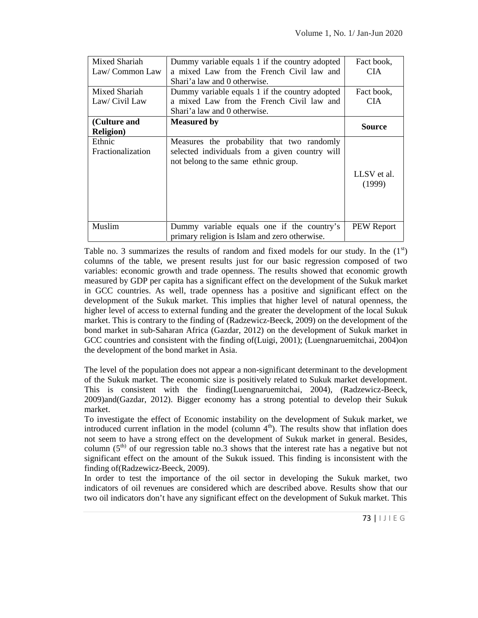| Mixed Shariah<br>Law/Common Law   | Dummy variable equals 1 if the country adopted<br>a mixed Law from the French Civil law and                                          | Fact book,<br>CIA.    |
|-----------------------------------|--------------------------------------------------------------------------------------------------------------------------------------|-----------------------|
|                                   | Shari'a law and 0 otherwise.                                                                                                         |                       |
| Mixed Shariah<br>Law/Civil Law    | Dummy variable equals 1 if the country adopted<br>a mixed Law from the French Civil law and<br>Shari'a law and 0 otherwise.          | Fact book,<br>CIA.    |
| (Culture and<br><b>Religion</b> ) | <b>Measured by</b>                                                                                                                   | Source                |
| Ethnic<br>Fractionalization       | Measures the probability that two randomly<br>selected individuals from a given country will<br>not belong to the same ethnic group. | LLSV et al.<br>(1999) |
| <b>Muslim</b>                     | Dummy variable equals one if the country's<br>primary religion is Islam and zero otherwise.                                          | PEW Report            |

Table no. 3 summarizes the results of random and fixed models for our study. In the  $(1<sup>st</sup>)$ columns of the table, we present results just for our basic regression composed of two variables: economic growth and trade openness. The results showed that economic growth measured by GDP per capita has a significant effect on the development of the Sukuk market in GCC countries. As well, trade openness has a positive and significant effect on the development of the Sukuk market. This implies that higher level of natural openness, the higher level of access to external funding and the greater the development of the local Sukuk market. This is contrary to the finding of (Radzewicz-Beeck, 2009) on the development of the bond market in sub-Saharan Africa (Gazdar, 2012) on the development of Sukuk market in GCC countries and consistent with the finding of(Luigi, 2001); (Luengnaruemitchai, 2004)on the development of the bond market in Asia.

The level of the population does not appear a non-significant determinant to the development of the Sukuk market. The economic size is positively related to Sukuk market development. This is consistent with the finding(Luengnaruemitchai, 2004), (Radzewicz-Beeck, 2009)and(Gazdar, 2012). Bigger economy has a strong potential to develop their Sukuk market.

To investigate the effect of Economic instability on the development of Sukuk market, we introduced current inflation in the model (column  $4<sup>th</sup>$ ). The results show that inflation does not seem to have a strong effect on the development of Sukuk market in general. Besides, column  $(5<sup>th</sup>)$  of our regression table no.3 shows that the interest rate has a negative but not significant effect on the amount of the Sukuk issued. This finding is inconsistent with the finding of(Radzewicz-Beeck, 2009).

market, two<br>how that our<br>market. This<br>73 |  $| J | E G$ In order to test the importance of the oil sector in developing the Sukuk market, two indicators of oil revenues are considered which are described above. Results show that our two oil indicators don't have any significant effect on the development of Sukuk market. This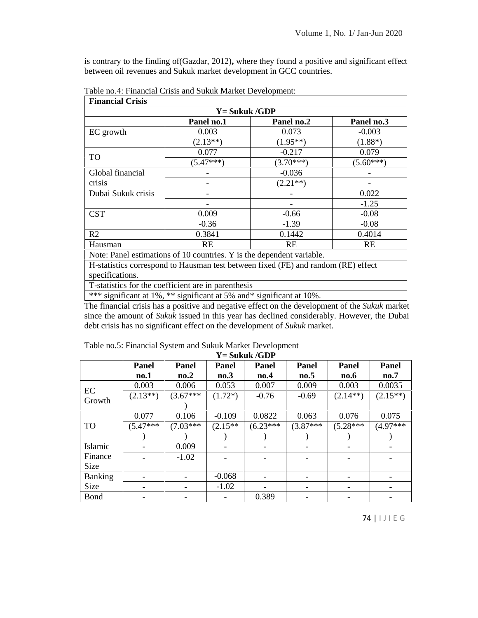is contrary to the finding of(Gazdar, 2012)**,** where they found a positive and significant effect between oil revenues and Sukuk market development in GCC countries.

| $Y = Sukuk/GDP$                                                                   |             |             |             |  |
|-----------------------------------------------------------------------------------|-------------|-------------|-------------|--|
|                                                                                   | Panel no.1  | Panel no.2  | Panel no.3  |  |
| EC growth                                                                         | 0.003       | 0.073       | $-0.003$    |  |
|                                                                                   | $(2.13**)$  | $(1.95**)$  | $(1.88*)$   |  |
|                                                                                   | 0.077       | $-0.217$    | 0.079       |  |
| TO                                                                                | $(5.47***)$ | $(3.70***)$ | $(5.60***)$ |  |
| Global financial                                                                  |             | $-0.036$    |             |  |
| crisis                                                                            |             | $(2.21**)$  |             |  |
| Dubai Sukuk crisis                                                                |             |             | 0.022       |  |
|                                                                                   |             |             | $-1.25$     |  |
| <b>CST</b>                                                                        | 0.009       | $-0.66$     | $-0.08$     |  |
|                                                                                   | $-0.36$     | $-1.39$     | $-0.08$     |  |
| R <sub>2</sub>                                                                    | 0.3841      | 0.1442      | 0.4014      |  |
| Hausman                                                                           | <b>RE</b>   | RE          | RE          |  |
| Note: Panel estimations of 10 countries. Y is the dependent variable.             |             |             |             |  |
| H-statistics correspond to Hausman test between fixed (FE) and random (RE) effect |             |             |             |  |
| specifications.                                                                   |             |             |             |  |
| The statistics for the cool fisications in property of a                          |             |             |             |  |

Table no.4: Financial Crisis and Sukuk Market Development:

T-statistics for the coefficient are in parenthesis

\*\*\* significant at 1%, \*\* significant at 5% and\* significant at 10%.

The financial crisis has a positive and negative effect on the development of the *Sukuk* market since the amount of *Sukuk* issued in this year has declined considerably. However, the Dubai debt crisis has no significant effect on the development of *Sukuk* market.

|                |            |            |           | $\mathbf{r}$ = Sukuk /GDP |            |                                         |             |
|----------------|------------|------------|-----------|---------------------------|------------|-----------------------------------------|-------------|
|                | Panel      | Panel      | Panel     | Panel                     | Panel      | Panel                                   | Panel       |
|                | no.1       | no.2       | no.3      | no.4                      | no.5       | $\mathbf{n}\mathbf{o} \cdot \mathbf{6}$ | no.7        |
|                | 0.003      | 0.006      | 0.053     | 0.007                     | 0.009      | 0.003                                   | 0.0035      |
| EC             | $(2.13**)$ | $(3.67***$ | $(1.72*)$ | $-0.76$                   | $-0.69$    | $(2.14**)$                              | $(2.15**)$  |
| Growth         |            |            |           |                           |            |                                         |             |
|                | 0.077      | 0.106      | $-0.109$  | 0.0822                    | 0.063      | 0.076                                   | 0.075       |
| TO             | $(5.47***$ | $(7.03***$ | $(2.15**$ | $(6.23***$                | $(3.87***$ | $(5.28***$                              | $(4.97***)$ |
|                |            |            |           |                           |            |                                         |             |
| Islamic        |            | 0.009      |           |                           | ۰          | ٠                                       | ۰.          |
| Finance        |            | $-1.02$    |           |                           |            |                                         |             |
| Size           |            |            |           |                           |            |                                         |             |
| <b>Banking</b> |            |            | $-0.068$  |                           |            | ۰                                       |             |
| Size           | ۰          |            | $-1.02$   |                           | ۰          | ۰                                       |             |
| Bond           | ۰          | ۰          | ۰         | 0.389                     | ۰          | ۰                                       | ۰           |
|                |            |            |           |                           |            |                                         |             |
|                |            |            |           |                           |            |                                         | 74   IJIEG  |
|                |            |            |           |                           |            |                                         |             |
|                |            |            |           |                           |            |                                         |             |

Table no.5: Financial System and Sukuk Market Development **Y= Sukuk /GDP**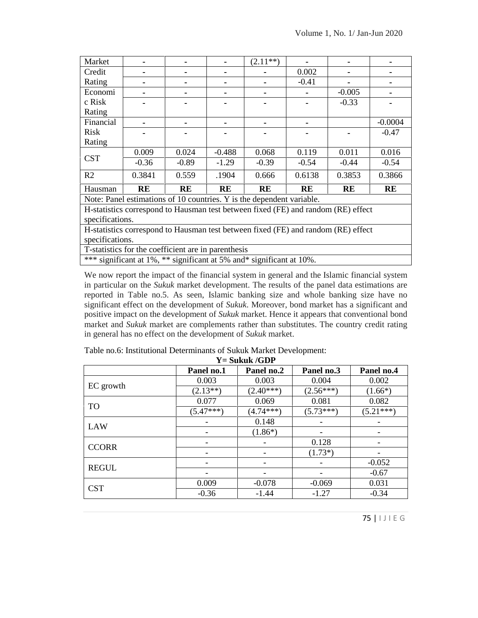| 0.002<br>Credit<br>Rating<br>$-0.41$<br>Economi<br>$-0.005$<br>۰<br>c Risk<br>$-0.33$<br>Rating |  |
|-------------------------------------------------------------------------------------------------|--|
|                                                                                                 |  |
|                                                                                                 |  |
|                                                                                                 |  |
|                                                                                                 |  |
|                                                                                                 |  |
| Financial<br>$-0.0004$                                                                          |  |
| Risk<br>$-0.47$                                                                                 |  |
| Rating                                                                                          |  |
| 0.009<br>0.024<br>$-0.488$<br>0.068<br>0.119<br>0.011<br>0.016                                  |  |
| <b>CST</b><br>$-0.36$<br>$-0.89$<br>$-1.29$<br>$-0.39$<br>$-0.54$<br>$-0.44$<br>$-0.54$         |  |
| R <sub>2</sub><br>.1904<br>0.6138<br>0.3841<br>0.559<br>0.3853<br>0.3866<br>0.666               |  |
| RE<br>Hausman<br>RE<br>RE<br>RE<br>RE<br><b>RE</b><br>RE                                        |  |
| Note: Panel estimations of 10 countries. Y is the dependent variable.                           |  |
| H-statistics correspond to Hausman test between fixed (FE) and random (RE) effect               |  |
| specifications.                                                                                 |  |
| H-statistics correspond to Hausman test between fixed (FE) and random (RE) effect               |  |
| specifications.                                                                                 |  |
| T-statistics for the coefficient are in parenthesis                                             |  |
| *** significant at 1%, ** significant at 5% and* significant at 10%.                            |  |

We now report the impact of the financial system in general and the Islamic financial system in particular on the *Sukuk* market development. The results of the panel data estimations are reported in Table no.5. As seen, Islamic banking size and whole banking size have no significant effect on the development of *Sukuk*. Moreover, bond market has a significant and positive impact on the development of *Sukuk* market. Hence it appears that conventional bond market and *Sukuk* market are complements rather than substitutes. The country credit rating in general has no effect on the development of *Sukuk* market.

| Table no.6: Institutional Determinants of Sukuk Market Development: |  |
|---------------------------------------------------------------------|--|
| $V =$ Calcule $\ell$ OD                                             |  |

| $\mathbf{r}$ = Sukuk /GDP |             |             |             |             |  |
|---------------------------|-------------|-------------|-------------|-------------|--|
|                           | Panel no.1  | Panel no.2  | Panel no.3  | Panel no.4  |  |
|                           | 0.003       | 0.003       | 0.004       | 0.002       |  |
| EC growth                 | $(2.13**)$  | $(2.40***)$ | $(2.56***)$ | $(1.66*)$   |  |
| <b>TO</b>                 | 0.077       | 0.069       | 0.081       | 0.082       |  |
|                           | $(5.47***)$ | $(4.74***)$ | $(5.73***)$ | $(5.21***)$ |  |
| <b>LAW</b>                |             | 0.148       |             |             |  |
|                           |             | $(1.86*)$   |             |             |  |
| <b>CCORR</b>              |             |             | 0.128       |             |  |
|                           |             |             | $(1.73*)$   |             |  |
| <b>REGUL</b>              |             |             |             | $-0.052$    |  |
|                           |             |             |             | $-0.67$     |  |
| <b>CST</b>                | 0.009       | $-0.078$    | $-0.069$    | 0.031       |  |
|                           | $-0.36$     | $-1.44$     | $-1.27$     | $-0.34$     |  |
|                           |             |             |             |             |  |
|                           |             |             |             | 75   IJIEG  |  |
|                           |             |             |             |             |  |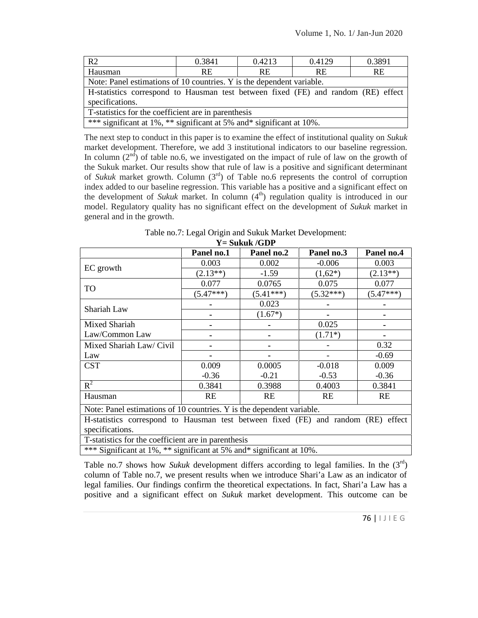| R <sub>2</sub>                                                                    | 0.3841 | 0.4213    | 0.4129    | 0.3891 |  |
|-----------------------------------------------------------------------------------|--------|-----------|-----------|--------|--|
| Hausman                                                                           | RE.    | <b>RE</b> | <b>RE</b> | RE.    |  |
| Note: Panel estimations of 10 countries. Y is the dependent variable.             |        |           |           |        |  |
| H-statistics correspond to Hausman test between fixed (FE) and random (RE) effect |        |           |           |        |  |
| specifications.                                                                   |        |           |           |        |  |
| T-statistics for the coefficient are in parenthesis                               |        |           |           |        |  |
| *** significant at 1%, ** significant at 5% and* significant at 10%.              |        |           |           |        |  |

The next step to conduct in this paper is to examine the effect of institutional quality on *Sukuk* market development. Therefore, we add 3 institutional indicators to our baseline regression. In column  $(2^{nd})$  of table no.6, we investigated on the impact of rule of law on the growth of the Sukuk market. Our results show that rule of law is a positive and significant determinant of *Sukuk* market growth. Column (3rd) of Table no.6 represents the control of corruption index added to our baseline regression. This variable has a positive and a significant effect on the development of *Sukuk* market. In column  $(4<sup>th</sup>)$  regulation quality is introduced in our model. Regulatory quality has no significant effect on the development of *Sukuk* market in general and in the growth.

Table no.7: Legal Origin and Sukuk Market Development: **Y= Sukuk /GDP**

|                                                                                   | Panel no.1  | Panel no.2  | Panel no.3  | Panel no.4  |
|-----------------------------------------------------------------------------------|-------------|-------------|-------------|-------------|
|                                                                                   | 0.003       | 0.002       | $-0.006$    | 0.003       |
| EC growth                                                                         | $(2.13**)$  | $-1.59$     | $(1,62*)$   | $(2.13**)$  |
|                                                                                   | 0.077       | 0.0765      | 0.075       | 0.077       |
| TO                                                                                | $(5.47***)$ | $(5.41***)$ | $(5.32***)$ | $(5.47***)$ |
| Shariah Law                                                                       |             | 0.023       |             |             |
|                                                                                   |             | $(1.67*)$   |             |             |
| Mixed Shariah                                                                     |             |             | 0.025       |             |
| Law/Common Law                                                                    |             |             | $(1.71*)$   |             |
| Mixed Shariah Law/ Civil                                                          |             |             |             | 0.32        |
| Law                                                                               |             |             |             | $-0.69$     |
| <b>CST</b>                                                                        | 0.009       | 0.0005      | $-0.018$    | 0.009       |
|                                                                                   | $-0.36$     | $-0.21$     | $-0.53$     | $-0.36$     |
| $R^2$                                                                             | 0.3841      | 0.3988      | 0.4003      | 0.3841      |
| Hausman                                                                           | RE          | RE          | RE          | RE          |
| Note: Panel estimations of 10 countries. Y is the dependent variable.             |             |             |             |             |
| H-statistics correspond to Hausman test between fixed (FE) and random (RE) effect |             |             |             |             |
| specifications.                                                                   |             |             |             |             |
| T-statistics for the coefficient are in parenthesis                               |             |             |             |             |
| *** Significant at 1%, ** significant at 5% and* significant at 10%.              |             |             |             |             |

 $\left[ \begin{array}{c} 1 \text{ in the } (3) \\ \text{indicator of} \\ 2 \text{ in the } (3) \\ \text{one can be} \\ 76 \mid 1 \mid 1 \in G \end{array} \right]$ Table no.7 shows how *Sukuk* development differs according to legal families. In the (3<sup>rd</sup>) column of Table no.7, we present results when we introduce Shari'a Law as an indicator of legal families. Our findings confirm the theoretical expectations. In fact, Shari'a Law has a positive and a significant effect on *Sukuk* market development. This outcome can be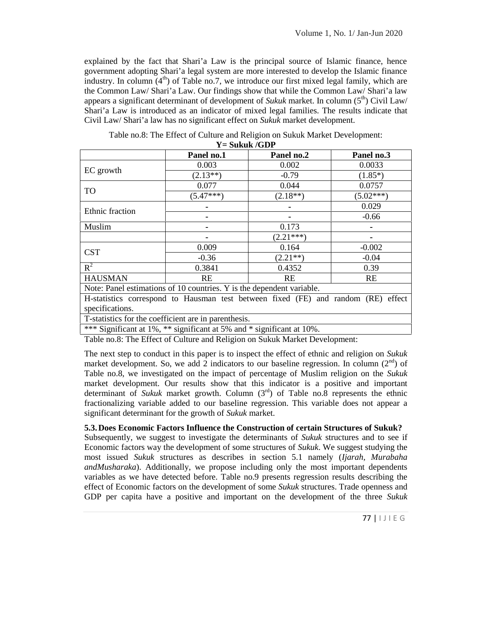explained by the fact that Shari'a Law is the principal source of Islamic finance, hence government adopting Shari'a legal system are more interested to develop the Islamic finance industry. In column  $(4<sup>th</sup>)$  of Table no.7, we introduce our first mixed legal family, which are the Common Law/ Shari'a Law. Our findings show that while the Common Law/ Shari'a law appears a significant determinant of development of *Sukuk* market. In column  $(5<sup>th</sup>)$  Civil Law/ Shari'a Law is introduced as an indicator of mixed legal families. The results indicate that Civil Law/ Shari'a law has no significant effect on *Sukuk* market development.

|                 | 1 – JUNUN / VIVI                                                                  |             |             |
|-----------------|-----------------------------------------------------------------------------------|-------------|-------------|
|                 | Panel no.1                                                                        | Panel no.2  | Panel no.3  |
|                 | 0.003                                                                             | 0.002       | 0.0033      |
| EC growth       | $(2.13**)$                                                                        | $-0.79$     | $(1.85*)$   |
| <b>TO</b>       | 0.077                                                                             | 0.044       | 0.0757      |
|                 | $(5.47***)$                                                                       | $(2.18**)$  | $(5.02***)$ |
|                 |                                                                                   |             | 0.029       |
| Ethnic fraction |                                                                                   |             | $-0.66$     |
| Muslim          |                                                                                   | 0.173       |             |
|                 |                                                                                   | $(2.21***)$ |             |
| <b>CST</b>      | 0.009                                                                             | 0.164       | $-0.002$    |
|                 | $-0.36$                                                                           | $(2.21**)$  | $-0.04$     |
| $R^2$           | 0.3841                                                                            | 0.4352      | 0.39        |
| <b>HAUSMAN</b>  | <b>RE</b>                                                                         | RE.         | <b>RE</b>   |
|                 | Note: Panel estimations of 10 countries. Y is the dependent variable.             |             |             |
|                 | H-statistics correspond to Hausman test between fixed (FE) and random (RE) effect |             |             |
| specifications. |                                                                                   |             |             |
|                 | T-statistics for the coefficient are in parenthesis.                              |             |             |

Table no.8: The Effect of Culture and Religion on Sukuk Market Development:

**Y= Sukuk /GDP**

\*\*\* Significant at 1%, \*\* significant at 5% and \* significant at 10%.

Table no.8: The Effect of Culture and Religion on Sukuk Market Development:

The next step to conduct in this paper is to inspect the effect of ethnic and religion on *Sukuk* market development. So, we add 2 indicators to our baseline regression. In column  $(2<sup>nd</sup>)$  of Table no.8, we investigated on the impact of percentage of Muslim religion on the *Sukuk* market development. Our results show that this indicator is a positive and important determinant of *Sukuk* market growth. Column (3rd) of Table no.8 represents the ethnic fractionalizing variable added to our baseline regression. This variable does not appear a significant determinant for the growth of *Sukuk* market.

#### **5.3.Does Economic Factors Influence the Construction of certain Structures of Sukuk?**

<sup>77</sup> <sup>|</sup> I J I E G Subsequently, we suggest to investigate the determinants of *Sukuk* structures and to see if Economic factors way the development of some structures of *Sukuk*. We suggest studying the most issued *Sukuk* structures as describes in section 5.1 namely (*Ijarah, Murabaha andMusharaka*). Additionally, we propose including only the most important dependents variables as we have detected before. Table no.9 presents regression results describing the effect of Economic factors on the development of some *Sukuk* structures. Trade openness and GDP per capita have a positive and important on the development of the three *Sukuk*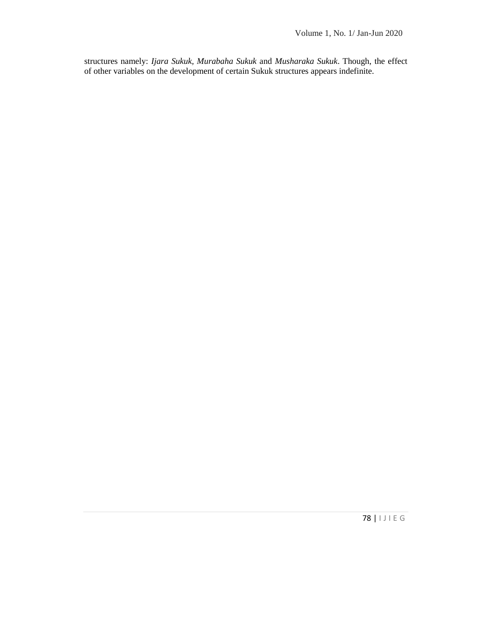structures namely: *Ijara Sukuk, Murabaha Sukuk* and *Musharaka Sukuk*. Though, the effect of other variables on the development of certain Sukuk structures appears indefinite.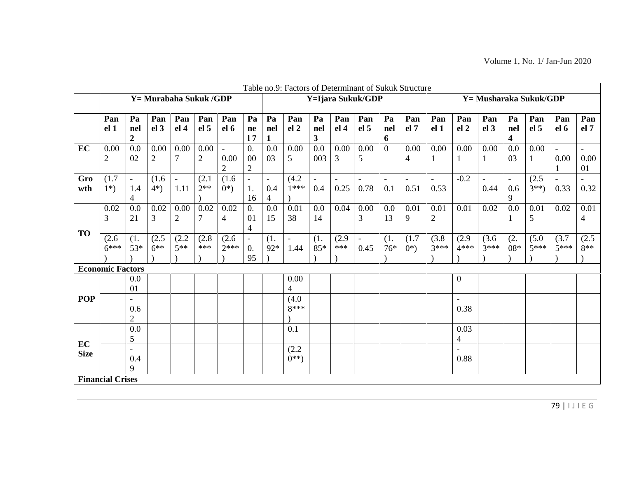|                   |                         |                                                                |                        |                                  |                        |                                         |                                      |                                                   | Table no.9: Factors of Determinant of Sukuk Structure |                             |                        |                                  |                |                            |                         |                                                       |                        |                                      |                      |                                  |                            |
|-------------------|-------------------------|----------------------------------------------------------------|------------------------|----------------------------------|------------------------|-----------------------------------------|--------------------------------------|---------------------------------------------------|-------------------------------------------------------|-----------------------------|------------------------|----------------------------------|----------------|----------------------------|-------------------------|-------------------------------------------------------|------------------------|--------------------------------------|----------------------|----------------------------------|----------------------------|
|                   | Y = Murabaha Sukuk /GDP |                                                                |                        |                                  |                        |                                         | Y=Ijara Sukuk/GDP                    |                                                   |                                                       |                             |                        |                                  |                |                            | Y = Musharaka Sukuk/GDP |                                                       |                        |                                      |                      |                                  |                            |
|                   | Pan<br>el <sub>1</sub>  | Pa<br>nel<br>$\overline{2}$                                    | Pan<br>el <sub>3</sub> | Pan<br>el <sub>4</sub>           | Pan<br>el <sub>5</sub> | Pan<br>el 6                             | Pa<br>ne<br>17                       | Pa<br>nel<br>$\mathbf{1}$                         | Pan<br>el <sub>2</sub>                                | Pa<br>nel<br>3 <sup>1</sup> | Pan<br>el <sub>4</sub> | Pan<br>el <sub>5</sub>           | Pa<br>nel<br>6 | Pan<br>el 7                | Pan<br>el <sub>1</sub>  | Pan<br>el <sub>2</sub>                                | Pan<br>el <sub>3</sub> | Pa<br>nel<br>$\overline{\mathbf{4}}$ | Pan<br>el 5          | Pan<br>el 6                      | Pan<br>el 7                |
| EC                | 0.00<br>$\overline{2}$  | 0.0<br>02                                                      | 0.00<br>$\overline{2}$ | 0.00<br>$\overline{7}$           | 0.00<br>$\sqrt{2}$     | $\mathcal{L}$<br>0.00<br>$\overline{2}$ | 0.<br>$00\,$<br>$\overline{2}$       | 0.0<br>03                                         | 0.00<br>5                                             | 0.0<br>003                  | 0.00<br>3              | 0.00<br>5                        | $\overline{0}$ | $0.00\,$<br>$\overline{4}$ | 0.00<br>$\mathbf{1}$    | 0.00<br>$\mathbf{1}$                                  | 0.00<br>$\mathbf{1}$   | 0.0<br>03                            | 0.00<br>$\mathbf{1}$ | $\equiv$<br>0.00<br>$\mathbf{1}$ | $\mathbb{L}$<br>0.00<br>01 |
| Gro<br>wth        | (1.7)<br>$1^*)$         | $\blacksquare$<br>1.4<br>4                                     | (1.6)<br>$4*)$         | $\overline{\phantom{a}}$<br>1.11 | (2.1)<br>$2**$         | (1.6)<br>$0^*)$                         | $\equiv$<br>1.<br>16                 | $\overline{\phantom{a}}$<br>0.4<br>$\overline{4}$ | (4.2)<br>$1***$                                       | 0.4                         | 0.25                   | 0.78                             | 0.1            | 0.51                       | $\blacksquare$<br>0.53  | $-0.2$                                                | 0.44                   | $\overline{\phantom{a}}$<br>0.6<br>9 | (2.5)<br>$3**$       | $\overline{a}$<br>0.33           | 0.32                       |
| <b>TO</b>         | 0.02<br>3               | 0.0<br>21                                                      | 0.02<br>$\overline{3}$ | 0.00<br>$\overline{c}$           | 0.02<br>$\overline{7}$ | 0.02<br>$\overline{4}$                  | 0.<br>01<br>$\overline{4}$           | 0.0<br>15                                         | 0.01<br>38                                            | 0.0<br>14                   | 0.04                   | $0.00\,$<br>$\overline{3}$       | 0.0<br>13      | 0.01<br>9                  | 0.01<br>$\overline{2}$  | 0.01                                                  | 0.02                   | 0.0<br>$\mathbf{1}$                  | 0.01<br>5            | 0.02                             | 0.01<br>$\overline{4}$     |
|                   | (2.6)<br>$6***$         | (1.<br>$53*$                                                   | (2.5)<br>$6***$        | (2.2)<br>$5***$                  | (2.8)<br>$***$         | (2.6)<br>$2***$                         | $\overline{\phantom{a}}$<br>0.<br>95 | (1.<br>92*                                        | 1.44                                                  | (1.<br>85*                  | (2.9)<br>***           | $\overline{\phantom{0}}$<br>0.45 | (1.<br>$76*$   | (1.7)<br>$0^*)$            | (3.8)<br>$3***$         | (2.9)<br>$4***$                                       | (3.6)<br>$3***$        | (2.<br>$08*$                         | (5.0)<br>$5***$      | (3.7)<br>$5***$                  | (2.5)<br>$8**$             |
|                   | <b>Economic Factors</b> |                                                                |                        |                                  |                        |                                         |                                      |                                                   |                                                       |                             |                        |                                  |                |                            |                         |                                                       |                        |                                      |                      |                                  |                            |
| <b>POP</b>        |                         | 0.0<br>01<br>$\overline{\phantom{a}}$<br>0.6<br>$\overline{2}$ |                        |                                  |                        |                                         |                                      |                                                   | 0.00<br>$\overline{\mathbf{4}}$<br>(4.0)<br>8***      |                             |                        |                                  |                |                            |                         | $\overline{0}$<br>$\overline{\phantom{a}}$<br>0.38    |                        |                                      |                      |                                  |                            |
| EC<br><b>Size</b> |                         | 0.0<br>5<br>$\overline{\phantom{a}}$<br>0.4<br>9               |                        |                                  |                        |                                         |                                      |                                                   | 0.1<br>(2.2)<br>$0^{**}$                              |                             |                        |                                  |                |                            |                         | 0.03<br>$\overline{4}$<br>$\bar{\phantom{a}}$<br>0.88 |                        |                                      |                      |                                  |                            |
|                   |                         |                                                                |                        |                                  |                        |                                         |                                      |                                                   |                                                       |                             |                        |                                  |                |                            |                         |                                                       |                        |                                      |                      |                                  |                            |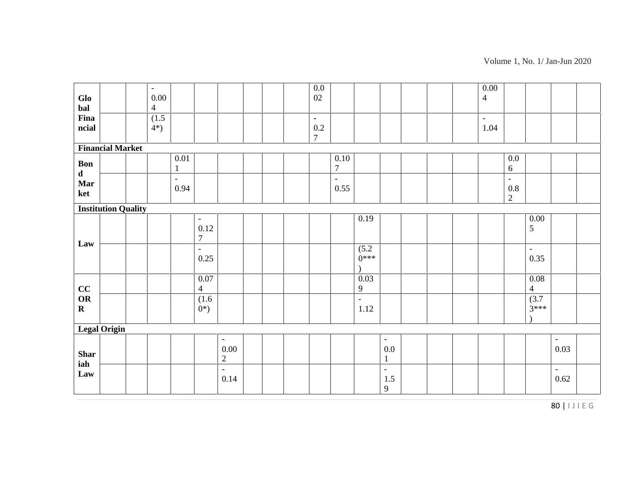| Glo<br>bal                | $\sim$<br>$0.00\,$<br>$\overline{4}$ |                          |                                                    |                                                        | $0.0\,$<br>$02\,$                         |                              |                                                     |  | 0.00<br>$\overline{4}$ |                                     |                                     |                                  |  |
|---------------------------|--------------------------------------|--------------------------|----------------------------------------------------|--------------------------------------------------------|-------------------------------------------|------------------------------|-----------------------------------------------------|--|------------------------|-------------------------------------|-------------------------------------|----------------------------------|--|
| Fina<br>ncial             | (1.5)<br>$4*)$                       |                          |                                                    |                                                        | $\mathbb{L}$<br>$0.2\,$<br>$\overline{7}$ |                              |                                                     |  | $\equiv$<br>1.04       |                                     |                                     |                                  |  |
|                           | <b>Financial Market</b>              |                          |                                                    |                                                        |                                           |                              |                                                     |  |                        |                                     |                                     |                                  |  |
| Bon                       |                                      | $0.01\,$<br>$\mathbf{1}$ |                                                    |                                                        |                                           | $0.10\,$<br>$\boldsymbol{7}$ |                                                     |  |                        | $0.0\,$<br>$6\,$                    |                                     |                                  |  |
| $\mathbf d$<br>Mar<br>ket |                                      | $\equiv$<br>0.94         |                                                    |                                                        |                                           | $\Box$<br>0.55               |                                                     |  |                        | $\Box$<br>$0.8\,$<br>$\overline{2}$ |                                     |                                  |  |
|                           | <b>Institution Quality</b>           |                          |                                                    |                                                        |                                           |                              |                                                     |  |                        |                                     |                                     |                                  |  |
|                           |                                      |                          | $\overline{\phantom{a}}$<br>0.12<br>$\overline{7}$ |                                                        |                                           |                              | 0.19                                                |  |                        |                                     | $0.00\,$<br>5                       |                                  |  |
| Law                       |                                      |                          | $\mathbb{L}^{\mathbb{N}}$<br>0.25                  |                                                        |                                           |                              | (5.2)<br>$0***$                                     |  |                        |                                     | $\overline{\phantom{a}}$<br>0.35    |                                  |  |
| CC                        |                                      |                          | $0.07\,$<br>$\overline{4}$                         |                                                        |                                           |                              | 0.03<br>$\overline{9}$                              |  |                        |                                     | $\overline{0.08}$<br>$\overline{4}$ |                                  |  |
| OR<br>$\mathbf R$         |                                      |                          | (1.6)<br>$0^*)$                                    |                                                        |                                           |                              | $\equiv$<br>1.12                                    |  |                        |                                     | (3.7)<br>$3***$                     |                                  |  |
|                           | <b>Legal Origin</b>                  |                          |                                                    |                                                        |                                           |                              |                                                     |  |                        |                                     |                                     |                                  |  |
| <b>Shar</b>               |                                      |                          |                                                    | $\overline{\phantom{a}}$<br>$0.00\,$<br>$\overline{2}$ |                                           |                              | $\overline{\phantom{a}}$<br>$0.0\,$<br>$\mathbf{1}$ |  |                        |                                     |                                     | $\overline{\phantom{a}}$<br>0.03 |  |
| iah<br>Law                |                                      |                          |                                                    | $\mathbb{L}$<br>0.14                                   |                                           |                              | $\overline{\phantom{a}}$<br>$1.5\,$<br>9            |  |                        |                                     |                                     | $\equiv$<br>0.62                 |  |
|                           |                                      |                          |                                                    |                                                        |                                           |                              |                                                     |  |                        |                                     |                                     | 80   IJIE G                      |  |

Volume 1, No. 1/ Jan-Jun 2020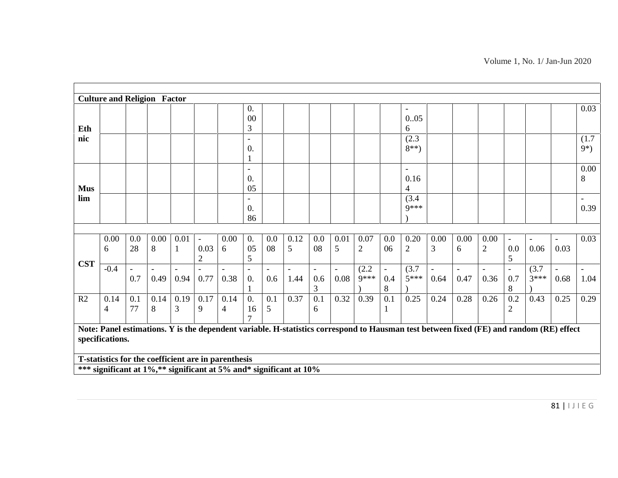Volume 1, No. 1/ Jan-Jun 2020

|            |                        |                                 | <b>Culture and Religion Factor</b> |           |                                    |                                                                                                                           |                                                    |                                 |           |                            |           |                        |           |                                       |                                  |                                                                                                                                         |                      |                                      |                                  |                                  |                                  |
|------------|------------------------|---------------------------------|------------------------------------|-----------|------------------------------------|---------------------------------------------------------------------------------------------------------------------------|----------------------------------------------------|---------------------------------|-----------|----------------------------|-----------|------------------------|-----------|---------------------------------------|----------------------------------|-----------------------------------------------------------------------------------------------------------------------------------------|----------------------|--------------------------------------|----------------------------------|----------------------------------|----------------------------------|
| Eth        |                        |                                 |                                    |           |                                    |                                                                                                                           | 0.<br>00<br>3                                      |                                 |           |                            |           |                        |           | $\overline{\phantom{0}}$<br>0.05<br>6 |                                  |                                                                                                                                         |                      |                                      |                                  |                                  | 0.03                             |
| nic        |                        |                                 |                                    |           |                                    |                                                                                                                           | $\overline{\phantom{a}}$<br>$\boldsymbol{0}$ .     |                                 |           |                            |           |                        |           | (2.3)<br>$8**$ )                      |                                  |                                                                                                                                         |                      |                                      |                                  |                                  | (1.7)<br>$9*)$                   |
| <b>Mus</b> |                        |                                 |                                    |           |                                    |                                                                                                                           | $\mathbf{1}$<br>$\equiv$<br>0.<br>05               |                                 |           |                            |           |                        |           | $\blacksquare$<br>0.16<br>4           |                                  |                                                                                                                                         |                      |                                      |                                  |                                  | 0.00<br>8                        |
| lim        |                        |                                 |                                    |           |                                    |                                                                                                                           | $\overline{\phantom{a}}$<br>$\overline{0}$ .<br>86 |                                 |           |                            |           |                        |           | (3.4)<br>$Q$ ***                      |                                  |                                                                                                                                         |                      |                                      |                                  |                                  | 0.39                             |
|            | 0.00<br>6              | 0.0<br>28                       | 0.00<br>8                          | 0.01<br>1 | $\equiv$<br>0.03<br>$\overline{2}$ | 0.00<br>6                                                                                                                 | $\overline{0}$ .<br>05<br>5                        | 0.0<br>08                       | 0.12<br>5 | 0.0<br>08                  | 0.01<br>5 | 0.07<br>$\overline{2}$ | 0.0<br>06 | 0.20<br>$\mathfrak{2}$                | 0.00<br>3                        | 0.00<br>6                                                                                                                               | 0.00<br>$\mathbf{2}$ | $\overline{\phantom{a}}$<br>0.0<br>5 | $\overline{\phantom{a}}$<br>0.06 | $\overline{\phantom{a}}$<br>0.03 | 0.03                             |
| <b>CST</b> | $-0.4$                 | $\overline{\phantom{a}}$<br>0.7 | $\overline{a}$<br>0.49             | 0.94      | 0.77                               | 0.38                                                                                                                      | $\overline{\phantom{a}}$<br>0.<br>$\mathbf{1}$     | $\overline{\phantom{a}}$<br>0.6 | 1.44      | $\blacksquare$<br>0.6<br>3 | 0.08      | (2.2)<br>9***          | 0.4<br>8  | (3.7)<br>$5***$                       | $\overline{\phantom{a}}$<br>0.64 | $\blacksquare$<br>0.47                                                                                                                  | 0.36                 | $\overline{\phantom{a}}$<br>0.7<br>8 | (3.7)<br>$3***$                  | $\overline{\phantom{a}}$<br>0.68 | $\overline{\phantom{a}}$<br>1.04 |
| R2         | 0.14<br>$\overline{4}$ | 0.1<br>77                       | 0.14<br>8                          | 0.19<br>3 | 0.17<br>9                          | 0.14<br>$\overline{4}$                                                                                                    | 0.<br>16                                           | 0.1<br>5                        | 0.37      | 0.1<br>6                   | 0.32      | 0.39                   | 0.1<br>1  | 0.25                                  | 0.24                             | 0.28                                                                                                                                    | 0.26                 | 0.2<br>$\mathfrak{2}$                | 0.43                             | 0.25                             | 0.29                             |
|            | specifications.        |                                 |                                    |           |                                    |                                                                                                                           |                                                    |                                 |           |                            |           |                        |           |                                       |                                  | Note: Panel estimations. Y is the dependent variable. H-statistics correspond to Hausman test between fixed (FE) and random (RE) effect |                      |                                      |                                  |                                  |                                  |
|            |                        |                                 |                                    |           |                                    | T-statistics for the coefficient are in parenthesis<br>*** significant at 1%,** significant at 5% and* significant at 10% |                                                    |                                 |           |                            |           |                        |           |                                       |                                  |                                                                                                                                         |                      |                                      |                                  |                                  |                                  |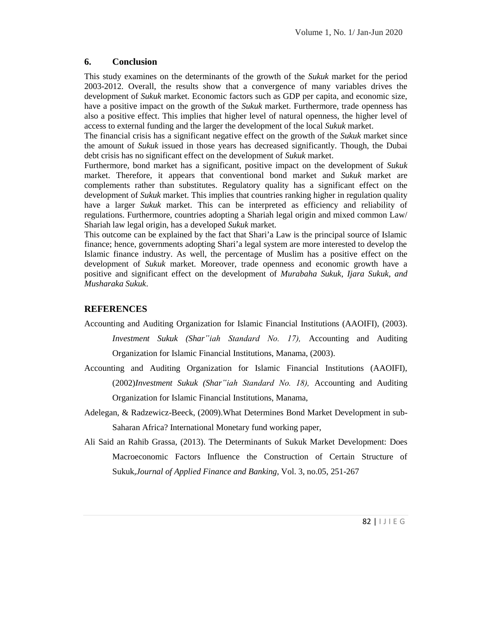### **6. Conclusion**

This study examines on the determinants of the growth of the *Sukuk* market for the period 2003-2012. Overall, the results show that a convergence of many variables drives the development of *Sukuk* market. Economic factors such as GDP per capita, and economic size, have a positive impact on the growth of the *Sukuk* market. Furthermore, trade openness has also a positive effect. This implies that higher level of natural openness, the higher level of access to external funding and the larger the development of the local *Sukuk* market.

The financial crisis has a significant negative effect on the growth of the *Sukuk* market since the amount of *Sukuk* issued in those years has decreased significantly. Though, the Dubai debt crisis has no significant effect on the development of *Sukuk* market.

Furthermore, bond market has a significant, positive impact on the development of *Sukuk* market. Therefore, it appears that conventional bond market and *Sukuk* market are complements rather than substitutes. Regulatory quality has a significant effect on the development of *Sukuk* market. This implies that countries ranking higher in regulation quality have a larger *Sukuk* market. This can be interpreted as efficiency and reliability of regulations. Furthermore, countries adopting a Shariah legal origin and mixed common Law/ Shariah law legal origin, has a developed *Sukuk* market.

This outcome can be explained by the fact that Shari'a Law is the principal source of Islamic finance; hence, governments adopting Shari'a legal system are more interested to develop the Islamic finance industry. As well, the percentage of Muslim has a positive effect on the development of *Sukuk* market. Moreover, trade openness and economic growth have a positive and significant effect on the development of *Murabaha Sukuk*, *Ijara Sukuk*, *and Musharaka Sukuk*.

# **REFERENCES**

Accounting and Auditing Organization for Islamic Financial Institutions (AAOIFI), (2003).

*Investment Sukuk (Shar"iah Standard No. 17),* Accounting and Auditing Organization for Islamic Financial Institutions, Manama, (2003).

- Accounting and Auditing Organization for Islamic Financial Institutions (AAOIFI), (2002)*Investment Sukuk (Shar"iah Standard No. 18),* Accounting and Auditing Organization for Islamic Financial Institutions, Manama,
- Adelegan, & Radzewicz-Beeck, (2009).What Determines Bond Market Development in sub- Saharan Africa? International Monetary fund working paper,
- Ali Said an Rahib Grassa, (2013). The Determinants of Sukuk Market Development: Does Macroeconomic Factors Influence the Construction of Certain Structure of Sukuk,*Journal of Applied Finance and Banking,* Vol. 3, no.05, 251-267